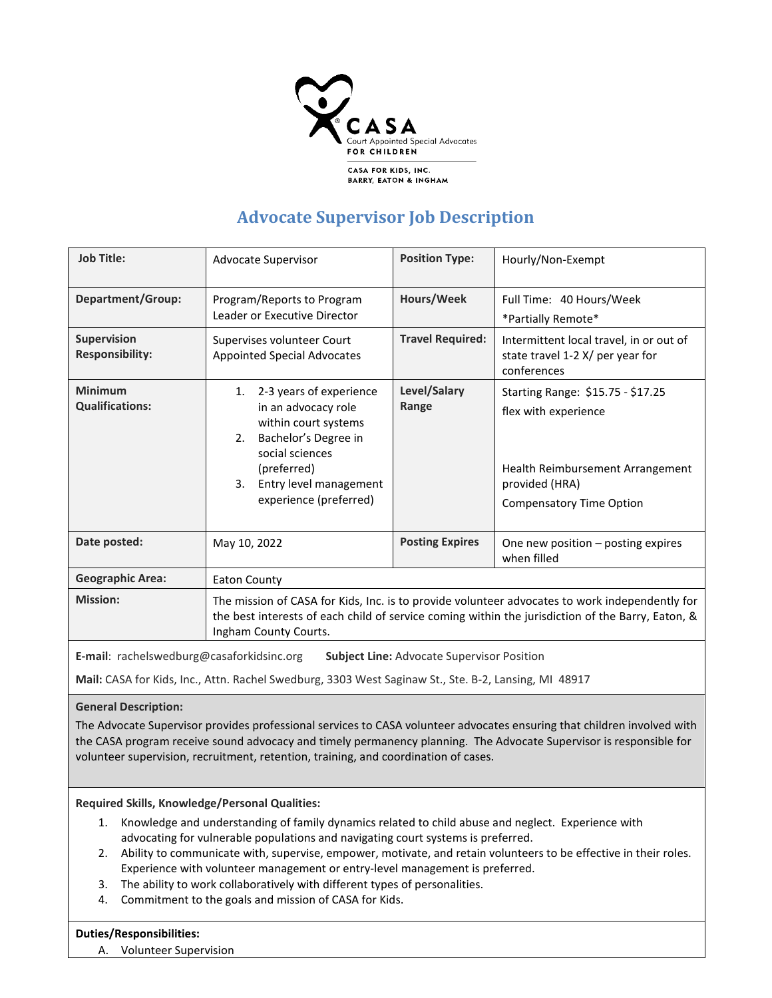

## **Advocate Supervisor Job Description**

| <b>Job Title:</b>                            | Advocate Supervisor                                                                                                                                                                                                          | <b>Position Type:</b>   | Hourly/Non-Exempt                                                                                                                                  |
|----------------------------------------------|------------------------------------------------------------------------------------------------------------------------------------------------------------------------------------------------------------------------------|-------------------------|----------------------------------------------------------------------------------------------------------------------------------------------------|
| <b>Department/Group:</b>                     | Program/Reports to Program<br>Leader or Executive Director                                                                                                                                                                   | Hours/Week              | Full Time: 40 Hours/Week<br>*Partially Remote*                                                                                                     |
| <b>Supervision</b><br><b>Responsibility:</b> | Supervises volunteer Court<br><b>Appointed Special Advocates</b>                                                                                                                                                             | <b>Travel Required:</b> | Intermittent local travel, in or out of<br>state travel 1-2 X/ per year for<br>conferences                                                         |
| <b>Minimum</b><br><b>Qualifications:</b>     | 2-3 years of experience<br>1.<br>in an advocacy role<br>within court systems<br>Bachelor's Degree in<br>2.<br>social sciences<br>(preferred)<br>Entry level management<br>3.<br>experience (preferred)                       | Level/Salary<br>Range   | Starting Range: \$15.75 - \$17.25<br>flex with experience<br>Health Reimbursement Arrangement<br>provided (HRA)<br><b>Compensatory Time Option</b> |
| Date posted:                                 | May 10, 2022                                                                                                                                                                                                                 | <b>Posting Expires</b>  | One new position - posting expires<br>when filled                                                                                                  |
| <b>Geographic Area:</b>                      | <b>Eaton County</b>                                                                                                                                                                                                          |                         |                                                                                                                                                    |
| <b>Mission:</b>                              | The mission of CASA for Kids, Inc. is to provide volunteer advocates to work independently for<br>the best interests of each child of service coming within the jurisdiction of the Barry, Eaton, &<br>Ingham County Courts. |                         |                                                                                                                                                    |

**E-mail**: rachelswedburg@casaforkidsinc.org **Subject Line:** Advocate Supervisor Position

**Mail:** CASA for Kids, Inc., Attn. Rachel Swedburg, 3303 West Saginaw St., Ste. B-2, Lansing, MI 48917

**General Description:**

The Advocate Supervisor provides professional services to CASA volunteer advocates ensuring that children involved with the CASA program receive sound advocacy and timely permanency planning. The Advocate Supervisor is responsible for volunteer supervision, recruitment, retention, training, and coordination of cases.

**Required Skills, Knowledge/Personal Qualities:**

- 1. Knowledge and understanding of family dynamics related to child abuse and neglect. Experience with advocating for vulnerable populations and navigating court systems is preferred.
- 2. Ability to communicate with, supervise, empower, motivate, and retain volunteers to be effective in their roles. Experience with volunteer management or entry-level management is preferred.
- 3. The ability to work collaboratively with different types of personalities.
- 4. Commitment to the goals and mission of CASA for Kids.

## **Duties/Responsibilities:**

A. Volunteer Supervision